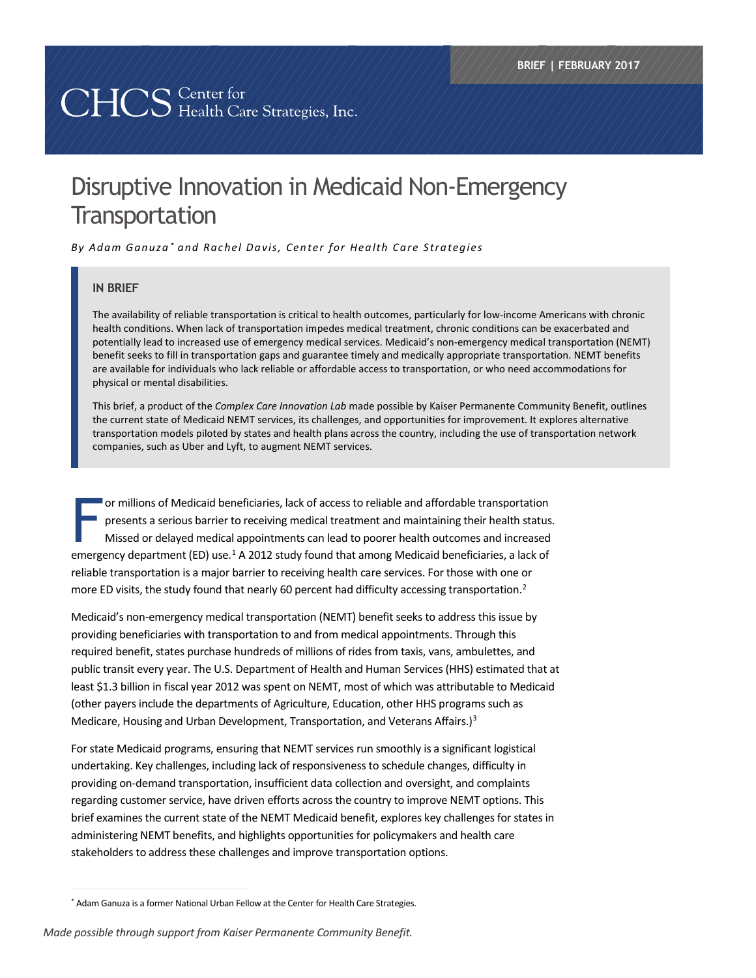# 

# Disruptive Innovation in Medicaid Non-Emergency **Transportation**

*By Adam Ganuza [\\*](#page-0-0) and Rachel Davis, Center for Health Care Strategies*

#### **IN BRIEF**

The availability of reliable transportation is critical to health outcomes, particularly for low-income Americans with chronic health conditions. When lack of transportation impedes medical treatment, chronic conditions can be exacerbated and potentially lead to increased use of emergency medical services. Medicaid's non-emergency medical transportation (NEMT) benefit seeks to fill in transportation gaps and guarantee timely and medically appropriate transportation. NEMT benefits are available for individuals who lack reliable or affordable access to transportation, or who need accommodations for physical or mental disabilities.

This brief, a product of the *Complex Care Innovation Lab* made possible by Kaiser Permanente Community Benefit, outlines the current state of Medicaid NEMT services, its challenges, and opportunities for improvement. It explores alternative transportation models piloted by states and health plans across the country, including the use of transportation network companies, such as Uber and Lyft, to augment NEMT services.

or millions of Medicaid beneficiaries, lack of access to reliable and affordable transportation presents a serious barrier to receiving medical treatment and maintaining their health status. Missed or delayed medical appointments can lead to poorer health outcomes and increased emergency department (ED) use.<sup>[1](#page-10-0)</sup> A 2012 study found that among Medicaid beneficiaries, a lack of reliable transportation is a major barrier to receiving health care services. For those with one or more ED visits, the study found that nearly 60 percent had difficulty accessing transportation.<sup>2</sup> F<br>F

Medicaid's non-emergency medical transportation (NEMT) benefit seeks to address this issue by providing beneficiaries with transportation to and from medical appointments. Through this required benefit, states purchase hundreds of millions of rides from taxis, vans, ambulettes, and public transit every year. The U.S. Department of Health and Human Services (HHS) estimated that at least \$1.3 billion in fiscal year 2012 was spent on NEMT, most of which was attributable to Medicaid (other payers include the departments of Agriculture, Education, other HHS programs such as Medicare, Housing and Urban Development, Transportation, and Veterans Affairs.)<sup>[3](#page-10-2)</sup>

For state Medicaid programs, ensuring that NEMT services run smoothly is a significant logistical undertaking. Key challenges, including lack of responsiveness to schedule changes, difficulty in providing on-demand transportation, insufficient data collection and oversight, and complaints regarding customer service, have driven efforts across the country to improve NEMT options. This brief examines the current state of the NEMT Medicaid benefit, explores key challenges for states in administering NEMT benefits, and highlights opportunities for policymakers and health care stakeholders to address these challenges and improve transportation options.

<span id="page-0-0"></span> <sup>\*</sup> Adam Ganuza is a former National Urban Fellow at the Center for Health Care Strategies.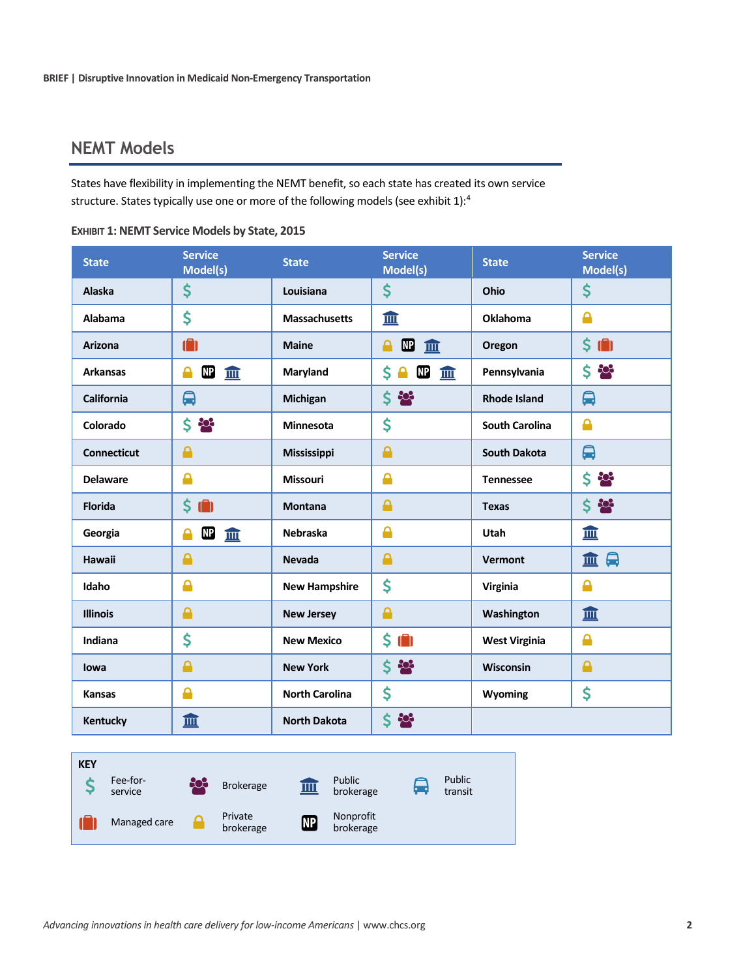# **NEMT Models**

States have flexibility in implementing the NEMT benefit, so each state has created its own service structure. States typically use one or more of the following models (see exhibit 1):[4](#page-10-3)

| <b>State</b>       | <b>Service</b><br>Model(s) | <b>State</b>          | <b>Service</b><br>Model(s)            | <b>State</b>          | <b>Service</b><br>Model(s)     |
|--------------------|----------------------------|-----------------------|---------------------------------------|-----------------------|--------------------------------|
| <b>Alaska</b>      | \$                         | Louisiana             | \$                                    | Ohio                  | \$                             |
| Alabama            | \$                         | <b>Massachusetts</b>  | 皿                                     | Oklahoma              | $\mathbf{r}$                   |
| <b>Arizona</b>     | Ô                          | <b>Maine</b>          | $\mathbf{E}$<br>Α<br>血                | Oregon                | $\sin$                         |
| <b>Arkansas</b>    | $\mathbf{M}$<br>血<br>А     | Maryland              | $\mathbf{E}$<br>\$.<br>血<br>$\bullet$ | Pennsylvania          | $5 - 26$                       |
| California         | 的                          | <b>Michigan</b>       | $5 - 26$                              | <b>Rhode Island</b>   | 的                              |
| Colorado           | $5 - 2$                    | <b>Minnesota</b>      | \$                                    | <b>South Carolina</b> | ≙                              |
| <b>Connecticut</b> | Α                          | <b>Mississippi</b>    | $\mathbf{\Theta}$                     | <b>South Dakota</b>   | ₿                              |
| <b>Delaware</b>    | Δ                          | <b>Missouri</b>       | <b>A</b>                              | <b>Tennessee</b>      | $5 - 20$                       |
| <b>Florida</b>     | $\sin 3$                   | <b>Montana</b>        | $\bullet$                             | <b>Texas</b>          | $5 - 26$                       |
| Georgia            | $\mathbf{E}$<br>숌<br>皿     | <b>Nebraska</b>       | <b>A</b>                              | Utah                  | 皿                              |
| <b>Hawaii</b>      | <b>A</b>                   | <b>Nevada</b>         | $\triangle$                           | <b>Vermont</b>        | $\boldsymbol{\mathsf{Q}}$<br>血 |
| Idaho              | Δ                          | <b>New Hampshire</b>  | \$                                    | Virginia              | <b>A</b>                       |
| <b>Illinois</b>    | Α                          | <b>New Jersey</b>     | $\triangle$                           | Washington            | 皿                              |
| Indiana            | \$                         | <b>New Mexico</b>     | $$$ (ii)                              | <b>West Virginia</b>  | ≙                              |
| lowa               | Α                          | <b>New York</b>       | $\boldsymbol{\zeta}$ is:              | Wisconsin             | Α                              |
| <b>Kansas</b>      | Δ                          | <b>North Carolina</b> | \$                                    | Wyoming               | \$                             |
| Kentucky           | 皿                          | <b>North Dakota</b>   | \$ 28                                 |                       |                                |

**EXHIBIT 1: NEMT Service Models by State, 2015**

| <b>KEY</b> | Fee-for-<br>service | 203 | <b>Brokerage</b>     | IШ        | Public<br>brokerage    | l. | Public<br>transit |
|------------|---------------------|-----|----------------------|-----------|------------------------|----|-------------------|
|            | Managed care        |     | Private<br>brokerage | <b>NP</b> | Nonprofit<br>brokerage |    |                   |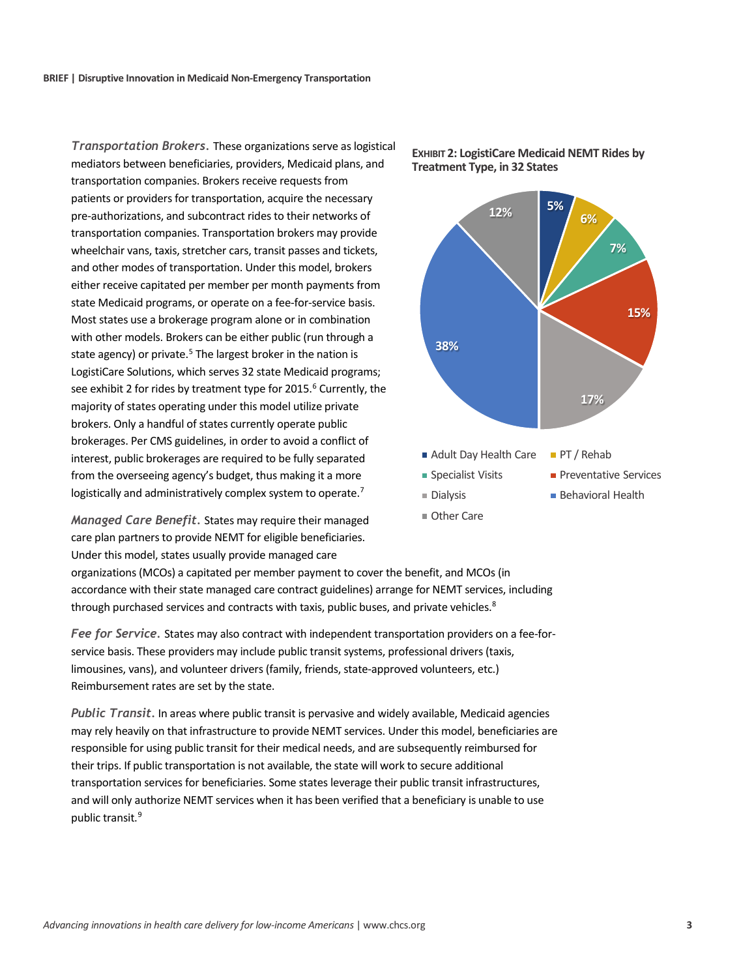*Transportation Brokers.* These organizations serve as logistical mediators between beneficiaries, providers, Medicaid plans, and transportation companies. Brokers receive requests from patients or providers for transportation, acquire the necessary pre-authorizations, and subcontract rides to their networks of transportation companies. Transportation brokers may provide wheelchair vans, taxis, stretcher cars, transit passes and tickets, and other modes of transportation. Under this model, brokers either receive capitated per member per month payments from state Medicaid programs, or operate on a fee-for-service basis. Most states use a brokerage program alone or in combination with other models. Brokers can be either public (run through a state agency) or private.<sup>[5](#page-10-4)</sup> The largest broker in the nation is LogistiCare Solutions, which serves 32 state Medicaid programs; see exhibit 2 for rides by treatment type for 2015.<sup>[6](#page-10-5)</sup> Currently, the majority of states operating under this model utilize private brokers. Only a handful of states currently operate public brokerages. Per CMS guidelines, in order to avoid a conflict of interest, public brokerages are required to be fully separated from the overseeing agency's budget, thus making it a more logistically and administratively complex system to operate.<sup>[7](#page-10-6)</sup>

*Managed Care Benefit.* States may require their managed care plan partners to provide NEMT for eligible beneficiaries. Under this model, states usually provide managed care





organizations (MCOs) a capitated per member payment to cover the benefit, and MCOs (in accordance with their state managed care contract guidelines) arrange for NEMT services, including through purchased services and contracts with taxis, public buses, and private vehicles.<sup>[8](#page-10-7)</sup>

*Fee for Service.* States may also contract with independent transportation providers on a fee-forservice basis. These providers may include public transit systems, professional drivers (taxis, limousines, vans), and volunteer drivers (family, friends, state-approved volunteers, etc.) Reimbursement rates are set by the state.

*Public Transit.* In areas where public transit is pervasive and widely available, Medicaid agencies may rely heavily on that infrastructure to provide NEMT services. Under this model, beneficiaries are responsible for using public transit for their medical needs, and are subsequently reimbursed for their trips. If public transportation is not available, the state will work to secure additional transportation services for beneficiaries. Some states leverage their public transit infrastructures, and will only authorize NEMT services when it has been verified that a beneficiary is unable to use public transit. [9](#page-10-8)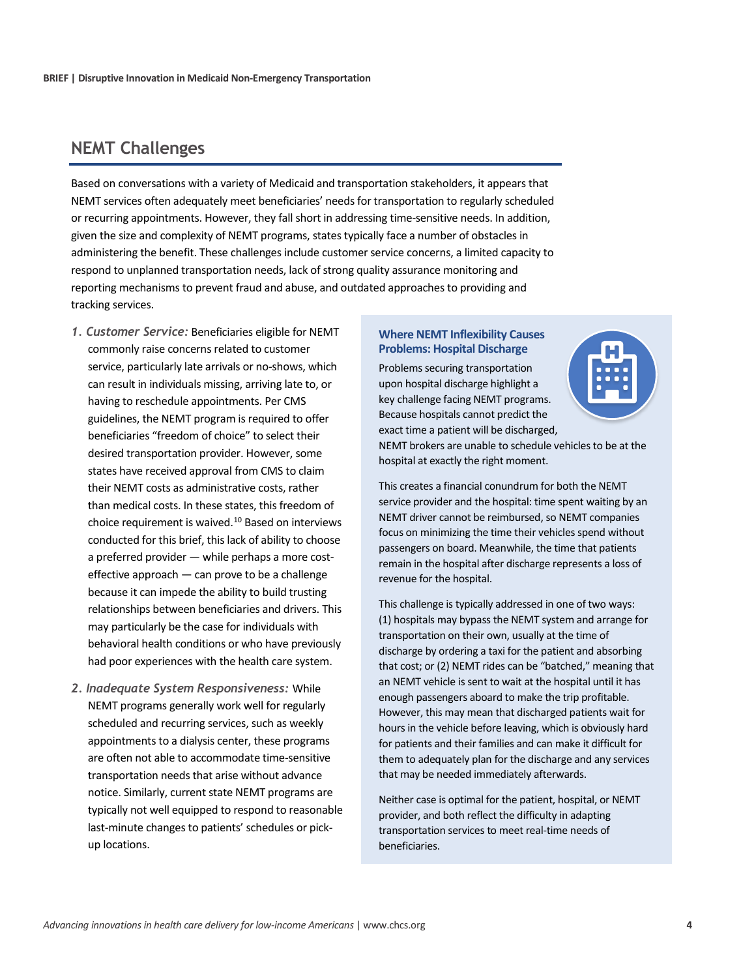# **NEMT Challenges**

Based on conversations with a variety of Medicaid and transportation stakeholders, it appears that NEMT services often adequately meet beneficiaries' needs for transportation to regularly scheduled or recurring appointments. However, they fall short in addressing time-sensitive needs. In addition, given the size and complexity of NEMT programs, states typically face a number of obstacles in administering the benefit. These challenges include customer service concerns, a limited capacity to respond to unplanned transportation needs, lack of strong quality assurance monitoring and reporting mechanisms to prevent fraud and abuse, and outdated approaches to providing and tracking services.

- *1. Customer Service:* Beneficiaries eligible for NEMT commonly raise concerns related to customer service, particularly late arrivals or no-shows, which can result in individuals missing, arriving late to, or having to reschedule appointments. Per CMS guidelines, the NEMT program is required to offer beneficiaries "freedom of choice" to select their desired transportation provider. However, some states have received approval from CMS to claim their NEMT costs as administrative costs, rather than medical costs. In these states, this freedom of choice requirement is waived[.10](#page-10-9) Based on interviews conducted for this brief, this lack of ability to choose a preferred provider — while perhaps a more costeffective approach — can prove to be a challenge because it can impede the ability to build trusting relationships between beneficiaries and drivers. This may particularly be the case for individuals with behavioral health conditions or who have previously had poor experiences with the health care system.
- *2. Inadequate System Responsiveness:* While NEMT programs generally work well for regularly scheduled and recurring services, such as weekly appointments to a dialysis center, these programs are often not able to accommodate time-sensitive transportation needs that arise without advance notice. Similarly, current state NEMT programs are typically not well equipped to respond to reasonable last-minute changes to patients' schedules or pickup locations.

#### **Where NEMT Inflexibility Causes Problems: Hospital Discharge**

Problems securing transportation upon hospital discharge highlight a key challenge facing NEMT programs. Because hospitals cannot predict the exact time a patient will be discharged,



NEMT brokers are unable to schedule vehicles to be at the hospital at exactly the right moment.

This creates a financial conundrum for both the NEMT service provider and the hospital: time spent waiting by an NEMT driver cannot be reimbursed, so NEMT companies focus on minimizing the time their vehicles spend without passengers on board. Meanwhile, the time that patients remain in the hospital after discharge represents a loss of revenue for the hospital.

This challenge is typically addressed in one of two ways: (1) hospitals may bypass the NEMT system and arrange for transportation on their own, usually at the time of discharge by ordering a taxi for the patient and absorbing that cost; or (2) NEMT rides can be "batched," meaning that an NEMT vehicle is sent to wait at the hospital until it has enough passengers aboard to make the trip profitable. However, this may mean that discharged patients wait for hours in the vehicle before leaving, which is obviously hard for patients and their families and can make it difficult for them to adequately plan for the discharge and any services that may be needed immediately afterwards.

Neither case is optimal for the patient, hospital, or NEMT provider, and both reflect the difficulty in adapting transportation services to meet real-time needs of beneficiaries.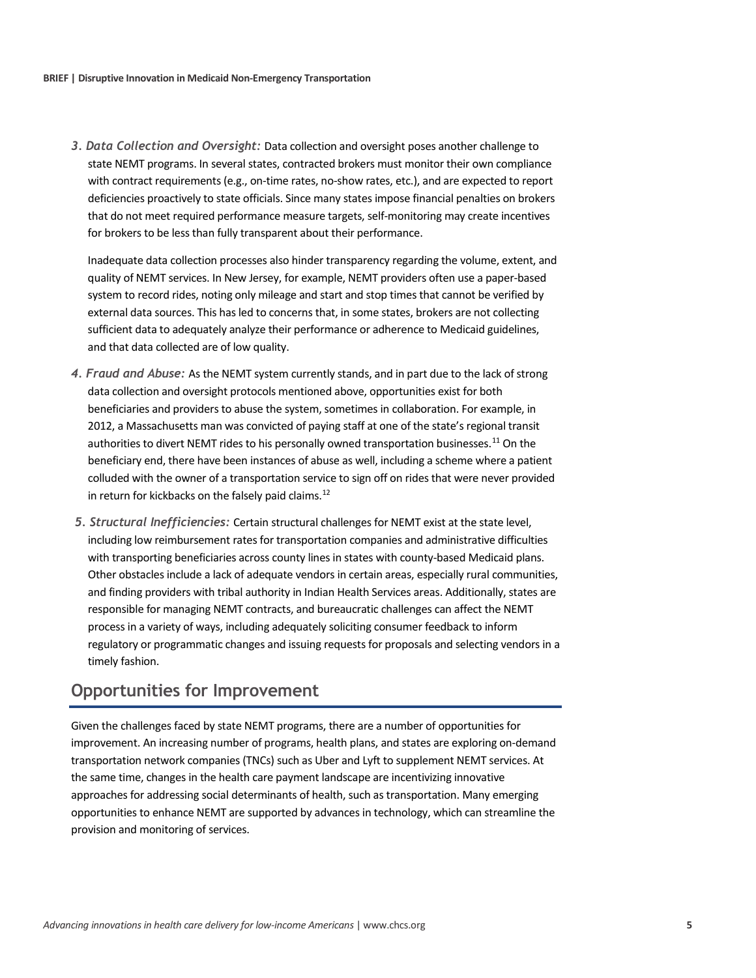*3. Data Collection and Oversight:* Data collection and oversight poses another challenge to state NEMT programs. In several states, contracted brokers must monitor their own compliance with contract requirements (e.g., on-time rates, no-show rates, etc.), and are expected to report deficiencies proactively to state officials. Since many states impose financial penalties on brokers that do not meet required performance measure targets, self-monitoring may create incentives for brokers to be less than fully transparent about their performance.

Inadequate data collection processes also hinder transparency regarding the volume, extent, and quality of NEMT services. In New Jersey, for example, NEMT providers often use a paper-based system to record rides, noting only mileage and start and stop times that cannot be verified by external data sources. This has led to concerns that, in some states, brokers are not collecting sufficient data to adequately analyze their performance or adherence to Medicaid guidelines, and that data collected are of low quality.

- *4. Fraud and Abuse:* As the NEMT system currently stands, and in part due to the lack of strong data collection and oversight protocols mentioned above, opportunities exist for both beneficiaries and providers to abuse the system, sometimes in collaboration. For example, in 2012, a Massachusetts man was convicted of paying staff at one of the state's regional transit authorities to divert NEMT rides to his personally owned transportation businesses.<sup>[11](#page-10-10)</sup> On the beneficiary end, there have been instances of abuse as well, including a scheme where a patient colluded with the owner of a transportation service to sign off on rides that were never provided in return for kickbacks on the falsely paid claims. $^{12}$  $^{12}$  $^{12}$
- *5. Structural Inefficiencies:* Certain structural challenges for NEMT exist at the state level, including low reimbursement rates for transportation companies and administrative difficulties with transporting beneficiaries across county lines in states with county-based Medicaid plans. Other obstacles include a lack of adequate vendors in certain areas, especially rural communities, and finding providers with tribal authority in Indian Health Services areas. Additionally, states are responsible for managing NEMT contracts, and bureaucratic challenges can affect the NEMT process in a variety of ways, including adequately soliciting consumer feedback to inform regulatory or programmatic changes and issuing requests for proposals and selecting vendors in a timely fashion.

# **Opportunities for Improvement**

Given the challenges faced by state NEMT programs, there are a number of opportunities for improvement. An increasing number of programs, health plans, and states are exploring on-demand transportation network companies (TNCs) such as Uber and Lyft to supplement NEMT services. At the same time, changes in the health care payment landscape are incentivizing innovative approaches for addressing social determinants of health, such as transportation. Many emerging opportunities to enhance NEMT are supported by advances in technology, which can streamline the provision and monitoring of services.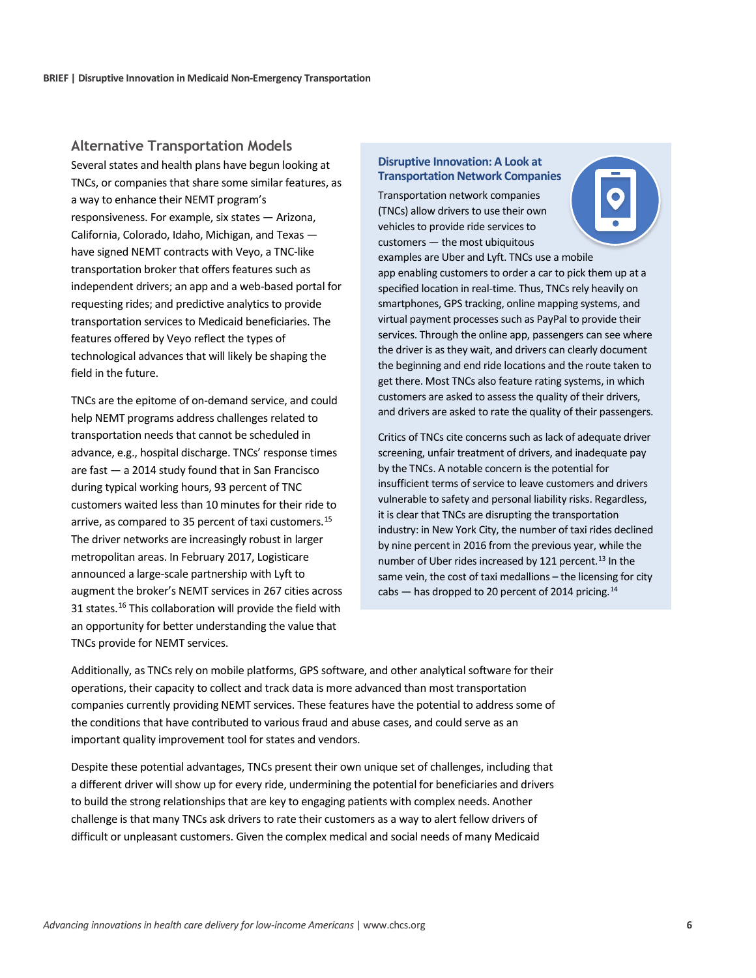#### **Alternative Transportation Models**

Several states and health plans have begun looking at TNCs, or companies that share some similar features, as a way to enhance their NEMT program's responsiveness. For example, six states — Arizona, California, Colorado, Idaho, Michigan, and Texas have signed NEMT contracts with Veyo, a TNC-like transportation broker that offers features such as independent drivers; an app and a web-based portal for requesting rides; and predictive analytics to provide transportation services to Medicaid beneficiaries. The features offered by Veyo reflect the types of technological advances that will likely be shaping the field in the future.

TNCs are the epitome of on-demand service, and could help NEMT programs address challenges related to transportation needs that cannot be scheduled in advance, e.g., hospital discharge. TNCs' response times are fast — a 2014 study found that in San Francisco during typical working hours, 93 percent of TNC customers waited less than 10 minutes for their ride to arrive, as compared to 35 percent of taxi customers.[15](#page-10-12) The driver networks are increasingly robust in larger metropolitan areas. In February 2017, Logisticare announced a large-scale partnership with Lyft to augment the broker's NEMT services in 267 cities across 31 states.<sup>[16](#page-10-13)</sup> This collaboration will provide the field with an opportunity for better understanding the value that TNCs provide for NEMT services.

#### **Disruptive Innovation: A Look at Transportation Network Companies**

Transportation network companies (TNCs) allow drivers to use their own vehicles to provide ride services to customers — the most ubiquitous



examples are Uber and Lyft. TNCs use a mobile app enabling customers to order a car to pick them up at a specified location in real-time. Thus, TNCs rely heavily on smartphones, GPS tracking, online mapping systems, and virtual payment processes such as PayPal to provide their services. Through the online app, passengers can see where the driver is as they wait, and drivers can clearly document the beginning and end ride locations and the route taken to get there. Most TNCs also feature rating systems, in which customers are asked to assess the quality of their drivers, and drivers are asked to rate the quality of their passengers.

Critics of TNCs cite concerns such as lack of adequate driver screening, unfair treatment of drivers, and inadequate pay by the TNCs. A notable concern is the potential for insufficient terms of service to leave customers and drivers vulnerable to safety and personal liability risks. Regardless, it is clear that TNCs are disrupting the transportation industry: in New York City, the number of taxi rides declined by nine percent in 2016 from the previous year, while the number of Uber rides increased by 121 percent.<sup>[13](#page-10-14)</sup> In the same vein, the cost of taxi medallions – the licensing for city cabs - has dropped to 20 percent of 2014 pricing.<sup>14</sup>

Additionally, as TNCs rely on mobile platforms, GPS software, and other analytical software for their operations, their capacity to collect and track data is more advanced than most transportation companies currently providing NEMT services. These features have the potential to address some of the conditions that have contributed to various fraud and abuse cases, and could serve as an important quality improvement tool for states and vendors.

Despite these potential advantages, TNCs present their own unique set of challenges, including that a different driver will show up for every ride, undermining the potential for beneficiaries and drivers to build the strong relationships that are key to engaging patients with complex needs. Another challenge is that many TNCs ask drivers to rate their customers as a way to alert fellow drivers of difficult or unpleasant customers. Given the complex medical and social needs of many Medicaid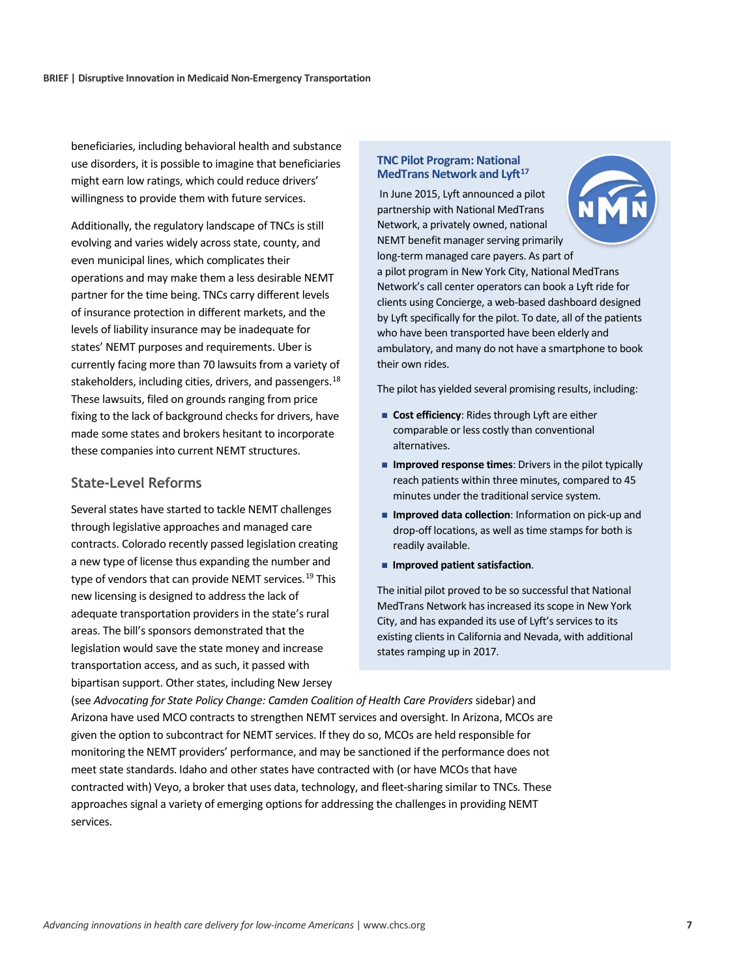beneficiaries, including behavioral health and substance use disorders, it is possible to imagine that beneficiaries might earn low ratings, which could reduce drivers' willingness to provide them with future services.

Additionally, the regulatory landscape of TNCs is still evolving and varies widely across state, county, and even municipal lines, which complicates their operations and may make them a less desirable NEMT partner for the time being. TNCs carry different levels of insurance protection in different markets, and the levels of liability insurance may be inadequate for states' NEMT purposes and requirements. Uber is currently facing more than 70 lawsuits from a variety of stakeholders, including cities, drivers, and passengers.<sup>18</sup> These lawsuits, filed on grounds ranging from price fixing to the lack of background checks for drivers, have made some states and brokers hesitant to incorporate these companies into current NEMT structures.

#### **State-Level Reforms**

Several states have started to tackle NEMT challenges through legislative approaches and managed care contracts. Colorado recently passed legislation creating a new type of license thus expanding the number and type of vendors that can provide NEMT services.<sup>[19](#page-10-17)</sup> This new licensing is designed to address the lack of adequate transportation providers in the state's rural areas. The bill's sponsors demonstrated that the legislation would save the state money and increase transportation access, and as such, it passed with bipartisan support. Other states, including New Jersey

#### **TNC Pilot Program: National MedTrans Network and Lyft[17](#page-10-18)**

In June 2015, Lyft announced a pilot partnership with National MedTrans Network, a privately owned, national NEMT benefit manager serving primarily long-term managed care payers. As part of a pilot program in New York City, National MedTrans Network's call center operators can book a Lyft ride for clients using Concierge, a web-based dashboard designed by Lyft specifically for the pilot. To date, all of the patients who have been transported have been elderly and ambulatory, and many do not have a smartphone to book their own rides.

The pilot has yielded several promising results, including:

- **Cost efficiency**: Rides through Lyft are either comparable or less costly than conventional alternatives.
- **Improved response times:** Drivers in the pilot typically reach patients within three minutes, compared to 45 minutes under the traditional service system.
- **Improved data collection:** Information on pick-up and drop-off locations, as well as time stamps for both is readily available.
- **Improved patient satisfaction.**

The initial pilot proved to be so successful that National MedTrans Network has increased its scope in New York City, and has expanded its use of Lyft's services to its existing clients in California and Nevada, with additional states ramping up in 2017.

(see Advocating for State Policy Change: Camden Coalition of Health Care Providers sidebar) and Arizona have used MCO contracts to strengthen NEMT services and oversight. In Arizona, MCOs are given the option to subcontract for NEMT services. If they do so, MCOs are held responsible for monitoring the NEMT providers' performance, and may be sanctioned if the performance does not meet state standards. Idaho and other states have contracted with (or have MCOs that have contracted with) Veyo, a broker that uses data, technology, and fleet-sharing similar to TNCs. These approaches signal a variety of emerging options for addressing the challenges in providing NEMT services.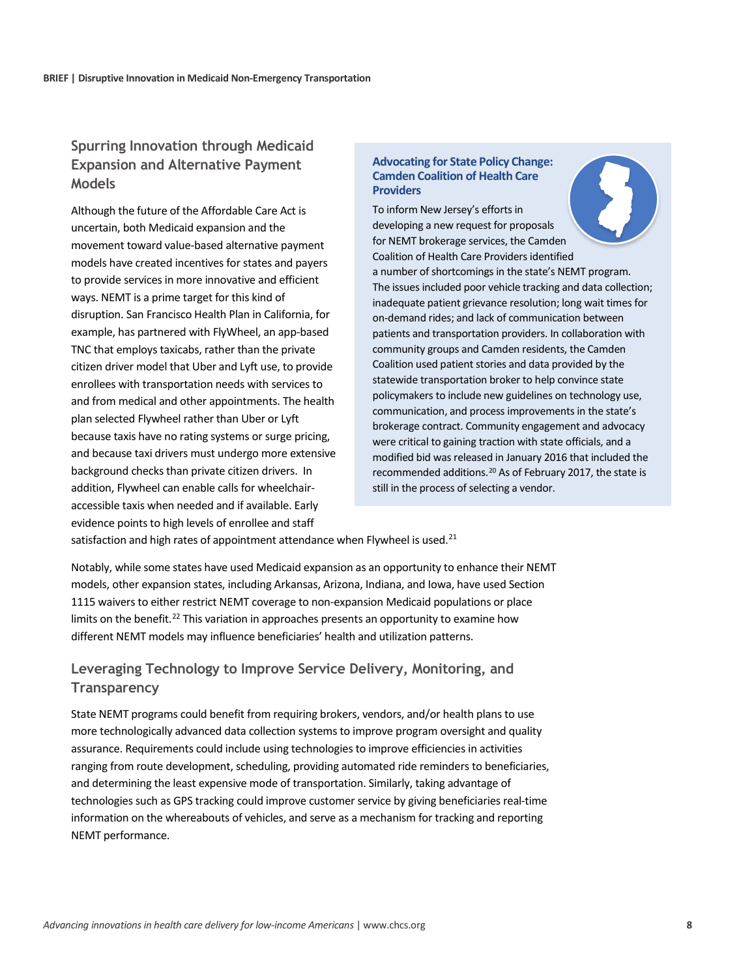# **Spurring Innovation through Medicaid Expansion and Alternative Payment Models**

Although the future of the Affordable Care Act is uncertain, both Medicaid expansion and the movement toward value-based alternative payment models have created incentives for states and payers to provide services in more innovative and efficient ways. NEMT is a prime target for this kind of disruption. San Francisco Health Plan in California, for example, has partnered with FlyWheel, an app-based TNC that employs taxicabs, rather than the private citizen driver model that Uber and Lyft use, to provide enrollees with transportation needs with services to and from medical and other appointments. The health plan selected Flywheel rather than Uber or Lyft because taxis have no rating systems or surge pricing, and because taxi drivers must undergo more extensive background checks than private citizen drivers. In addition, Flywheel can enable calls for wheelchairaccessible taxis when needed and if available. Early evidence points to high levels of enrollee and staff

#### **Advocating for State Policy Change: Camden Coalition of Health Care Providers**

To inform New Jersey's efforts in developing a new request for proposals for NEMT brokerage services, the Camden Coalition of Health Care Providers identified a number of shortcomings in the state's NEMT program. The issues included poor vehicle tracking and data collection; inadequate patient grievance resolution; long wait times for on-demand rides; and lack of communication between patients and transportation providers. In collaboration with community groups and Camden residents, the Camden Coalition used patient stories and data provided by the statewide transportation broker to help convince state policymakers to include new guidelines on technology use, communication, and process improvements in the state's brokerage contract. Community engagement and advocacy were critical to gaining traction with state officials, and a modified bid was released in January 2016 that included the recommended additions.[20](#page-10-21) As of February 2017, the state is still in the process of selecting a vendor.

satisfaction and high rates of appointment attendance when Flywheel is used.<sup>[21](#page-10-19)</sup>

Notably, while some states have used Medicaid expansion as an opportunity to enhance their NEMT models, other expansion states, including Arkansas, Arizona, Indiana, and Iowa, have used Section 1115 waivers to either restrict NEMT coverage to non-expansion Medicaid populations or place limits on the benefit.<sup>[22](#page-10-20)</sup> This variation in approaches presents an opportunity to examine how different NEMT models may influence beneficiaries' health and utilization patterns.

### **Leveraging Technology to Improve Service Delivery, Monitoring, and Transparency**

State NEMT programs could benefit from requiring brokers, vendors, and/or health plans to use more technologically advanced data collection systems to improve program oversight and quality assurance. Requirements could include using technologies to improve efficiencies in activities ranging from route development, scheduling, providing automated ride reminders to beneficiaries, and determining the least expensive mode of transportation. Similarly, taking advantage of technologies such as GPS tracking could improve customer service by giving beneficiaries real-time information on the whereabouts of vehicles, and serve as a mechanism for tracking and reporting NEMT performance.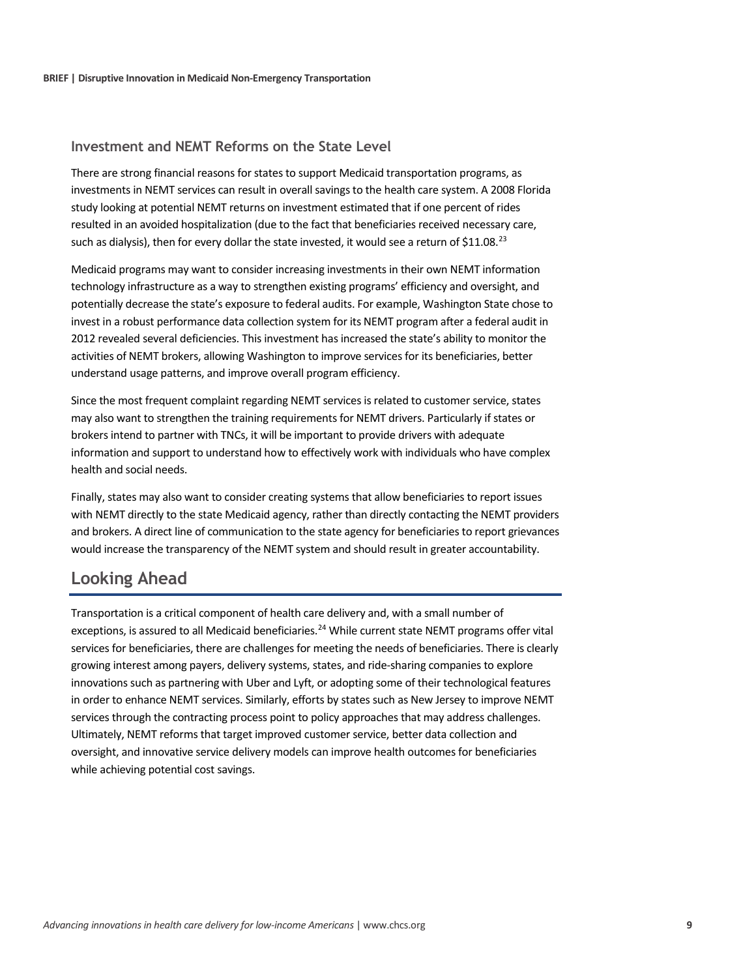#### **Investment and NEMT Reforms on the State Level**

There are strong financial reasons for states to support Medicaid transportation programs, as investments in NEMT services can result in overall savings to the health care system. A 2008 Florida study looking at potential NEMT returns on investment estimated that if one percent of rides resulted in an avoided hospitalization (due to the fact that beneficiaries received necessary care, such as dialysis), then for every dollar the state invested, it would see a return of \$11.08.<sup>[23](#page-10-22)</sup>

Medicaid programs may want to consider increasing investments in their own NEMT information technology infrastructure as a way to strengthen existing programs' efficiency and oversight, and potentially decrease the state's exposure to federal audits. For example, Washington State chose to invest in a robust performance data collection system for its NEMT program after a federal audit in 2012 revealed several deficiencies. This investment has increased the state's ability to monitor the activities of NEMT brokers, allowing Washington to improve services for its beneficiaries, better understand usage patterns, and improve overall program efficiency.

Since the most frequent complaint regarding NEMT services is related to customer service, states may also want to strengthen the training requirements for NEMT drivers. Particularly if states or brokers intend to partner with TNCs, it will be important to provide drivers with adequate information and support to understand how to effectively work with individuals who have complex health and social needs.

Finally, states may also want to consider creating systems that allow beneficiaries to report issues with NEMT directly to the state Medicaid agency, rather than directly contacting the NEMT providers and brokers. A direct line of communication to the state agency for beneficiaries to report grievances would increase the transparency of the NEMT system and should result in greater accountability.

# **Looking Ahead**

Transportation is a critical component of health care delivery and, with a small number of exceptions, is assured to all Medicaid beneficiaries.<sup>[24](#page-10-23)</sup> While current state NEMT programs offer vital services for beneficiaries, there are challenges for meeting the needs of beneficiaries. There is clearly growing interest among payers, delivery systems, states, and ride-sharing companies to explore innovations such as partnering with Uber and Lyft, or adopting some of their technological features in order to enhance NEMT services. Similarly, efforts by states such as New Jersey to improve NEMT services through the contracting process point to policy approaches that may address challenges. Ultimately, NEMT reforms that target improved customer service, better data collection and oversight, and innovative service delivery models can improve health outcomes for beneficiaries while achieving potential cost savings.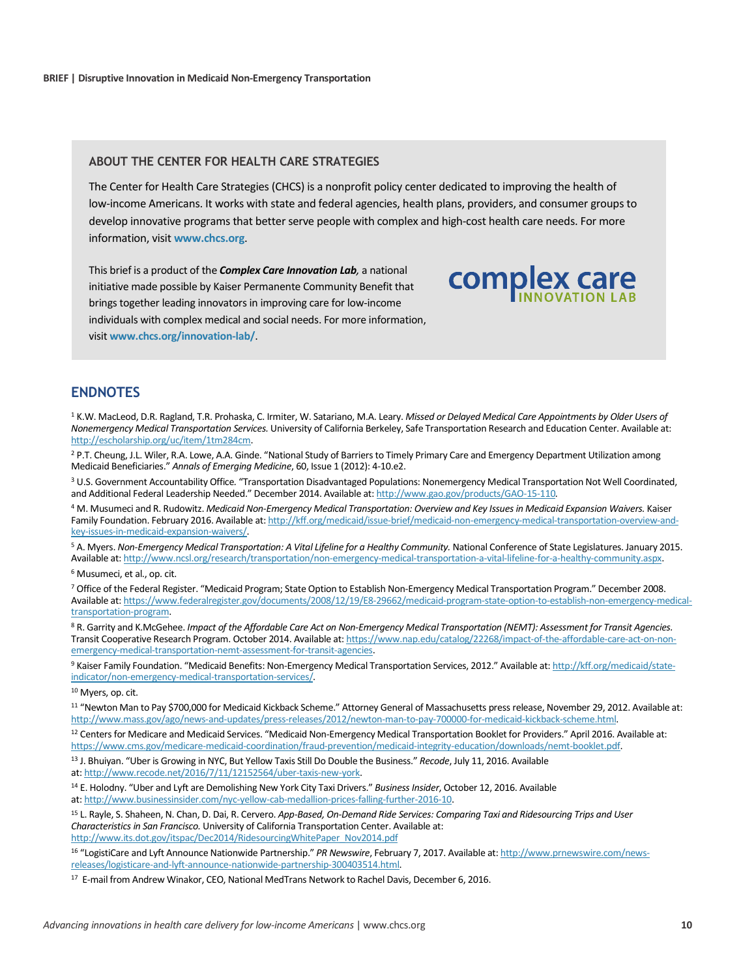#### **ABOUT THE CENTER FOR HEALTH CARE STRATEGIES**

The Center for Health Care Strategies (CHCS) is a nonprofit policy center dedicated to improving the health of low-income Americans. It works with state and federal agencies, health plans, providers, and consumer groups to develop innovative programs that better serve people with complex and high-cost health care needs. For more information, visit **[www.chcs.org](http://www.chcs.org/)**.

complex care

This brief is a product of the *Complex Care Innovation Lab,* a national initiative made possible by Kaiser Permanente Community Benefit that brings together leading innovators in improving care for low-income individuals with complex medical and social needs. For more information, visit **[www.chcs.org/innovation-lab/](http://www.chcs.org/innovation-lab/)**.

#### **ENDNOTES**

<sup>1</sup> K.W. MacLeod, D.R. Ragland, T.R. Prohaska, C. Irmiter, W. Satariano, M.A. Leary. *Missed or Delayed Medical Care Appointments by Older Users of Nonemergency Medical Transportation Services.* University of California Berkeley, Safe Transportation Research and Education Center. Available at: [http://escholarship.org/uc/item/1tm284cm.](http://escholarship.org/uc/item/1tm284cm)

<sup>2</sup> P.T. Cheung, J.L. Wiler, R.A. Lowe, A.A. Ginde. "National Study of Barriers to Timely Primary Care and Emergency Department Utilization among Medicaid Beneficiaries." *Annals of Emerging Medicine*, 60, Issue 1 (2012): 4-10.e2.

<sup>3</sup> U.S. Government Accountability Office*.* "Transportation Disadvantaged Populations: Nonemergency Medical Transportation Not Well Coordinated, and Additional Federal Leadership Needed." December 2014. Available at[: http://www.gao.gov/products/GAO-15-110](http://www.gao.gov/products/GAO-15-110)*.*

<sup>4</sup> M. Musumeci and R. Rudowitz. *Medicaid Non-Emergency Medical Transportation: Overview and Key Issues in Medicaid Expansion Waivers.* Kaiser Family Foundation. February 2016. Available at[: http://kff.org/medicaid/issue-brief/medicaid-non-emergency-medical-transportation-overview-and](http://kff.org/medicaid/issue-brief/medicaid-non-emergency-medical-transportation-overview-and-key-issues-in-medicaid-expansion-waivers/)[key-issues-in-medicaid-expansion-waivers/.](http://kff.org/medicaid/issue-brief/medicaid-non-emergency-medical-transportation-overview-and-key-issues-in-medicaid-expansion-waivers/)

<sup>5</sup> A. Myers. Non-Emergency Medical Transportation: A Vital Lifeline for a Healthy Community. National Conference of State Legislatures. January 2015. Available at[: http://www.ncsl.org/research/transportation/non-emergency-medical-transportation-a-vital-lifeline-for-a-healthy-community.aspx.](http://www.ncsl.org/research/transportation/non-emergency-medical-transportation-a-vital-lifeline-for-a-healthy-community.aspx)

<sup>6</sup> Musumeci, et al., op. cit.

<sup>7</sup> Office of the Federal Register. "Medicaid Program; State Option to Establish Non-Emergency Medical Transportation Program." December 2008. Available at[: https://www.federalregister.gov/documents/2008/12/19/E8-29662/medicaid-program-state-option-to-establish-non-emergency-medical](https://www.federalregister.gov/documents/2008/12/19/E8-29662/medicaid-program-state-option-to-establish-non-emergency-medical-transportation-program)[transportation-program.](https://www.federalregister.gov/documents/2008/12/19/E8-29662/medicaid-program-state-option-to-establish-non-emergency-medical-transportation-program)

<sup>8</sup> R. Garrity and K.McGehee. *Impact of the Affordable Care Act on Non-Emergency Medical Transportation (NEMT): Assessment for Transit Agencies.* Transit Cooperative Research Program. October 2014. Available at[: https://www.nap.edu/catalog/22268/impact-of-the-affordable-care-act-on-non](https://www.nap.edu/catalog/22268/impact-of-the-affordable-care-act-on-non-emergency-medical-transportation-nemt-assessment-for-transit-agencies)[emergency-medical-transportation-nemt-assessment-for-transit-agencies.](https://www.nap.edu/catalog/22268/impact-of-the-affordable-care-act-on-non-emergency-medical-transportation-nemt-assessment-for-transit-agencies)

<sup>9</sup> Kaiser Family Foundation. "Medicaid Benefits: Non-Emergency Medical Transportation Services, 2012." Available at[: http://kff.org/medicaid/state](http://kff.org/medicaid/state-indicator/non-emergency-medical-transportation-services/)[indicator/non-emergency-medical-transportation-services/.](http://kff.org/medicaid/state-indicator/non-emergency-medical-transportation-services/)

<sup>10</sup> Myers, op. cit.

<sup>11</sup> "Newton Man to Pay \$700,000 for Medicaid Kickback Scheme." Attorney General of Massachusetts press release, November 29, 2012. Available at: [http://www.mass.gov/ago/news-and-updates/press-releases/2012/newton-man-to-pay-700000-for-medicaid-kickback-scheme.html.](http://www.mass.gov/ago/news-and-updates/press-releases/2012/newton-man-to-pay-700000-for-medicaid-kickback-scheme.html)

12 Centers for Medicare and Medicaid Services. "Medicaid Non-Emergency Medical Transportation Booklet for Providers." April 2016. Available at: [https://www.cms.gov/medicare-medicaid-coordination/fraud-prevention/medicaid-integrity-education/downloads/nemt-booklet.pdf.](https://www.cms.gov/medicare-medicaid-coordination/fraud-prevention/medicaid-integrity-education/downloads/nemt-booklet.pdf) 

<sup>13</sup> J. Bhuiyan. "Uber is Growing in NYC, But Yellow Taxis Still Do Double the Business." *Recode*, July 11, 2016. Available at[: http://www.recode.net/2016/7/11/12152564/uber-taxis-new-york.](http://www.recode.net/2016/7/11/12152564/uber-taxis-new-york)

<sup>14</sup> E. Holodny. "Uber and Lyft are Demolishing New York City Taxi Drivers." *Business Insider*, October 12, 2016. Available at[: http://www.businessinsider.com/nyc-yellow-cab-medallion-prices-falling-further-2016-10.](http://www.businessinsider.com/nyc-yellow-cab-medallion-prices-falling-further-2016-10)

<sup>15</sup> L. Rayle, S. Shaheen, N. Chan, D. Dai, R. Cervero. *App-Based, On-Demand Ride Services: Comparing Taxi and Ridesourcing Trips and User Characteristics in San Francisco.* University of California Transportation Center. Available at: [http://www.its.dot.gov/itspac/Dec2014/RidesourcingWhitePaper\\_Nov2014.pdf](http://www.its.dot.gov/itspac/Dec2014/RidesourcingWhitePaper_Nov2014.pdf)

<sup>16</sup> "LogistiCare and Lyft Announce Nationwide Partnership." *PR Newswire*, February 7, 2017. Available at[: http://www.prnewswire.com/news](http://www.prnewswire.com/news-releases/logisticare-and-lyft-announce-nationwide-partnership-300403514.html)[releases/logisticare-and-lyft-announce-nationwide-partnership-300403514.html.](http://www.prnewswire.com/news-releases/logisticare-and-lyft-announce-nationwide-partnership-300403514.html) 

<sup>17</sup> E-mail from Andrew Winakor, CEO, National MedTrans Network to Rachel Davis, December 6, 2016.